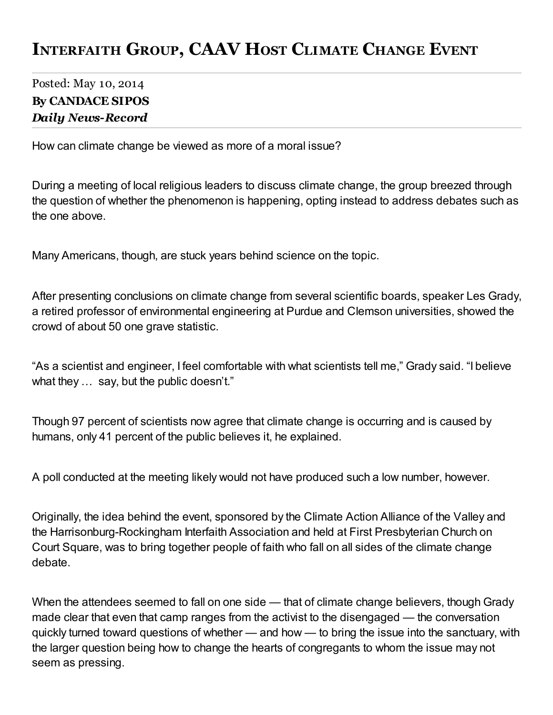## INTERFAITH GROUP, CAAV HOST CLIMATE CHANGE EVENT

## Posted: May 10, 2014 By CANDACE SIPOS *Daily News-Record*

How can climate change be viewed as more of a moral issue?

During a meeting of local religious leaders to discuss climate change, the group breezed through the question of whether the phenomenon is happening, opting instead to address debates such as the one above.

Many Americans, though, are stuck years behind science on the topic.

After presenting conclusions on climate change from several scientific boards, speaker Les Grady, a retired professor of environmental engineering at Purdue and Clemson universities, showed the crowd of about 50 one grave statistic.

"As a scientist and engineer, I feel comfortable with what scientists tell me," Grady said. "I believe what they ... say, but the public doesn't."

Though 97 percent of scientists now agree that climate change is occurring and is caused by humans, only 41 percent of the public believes it, he explained.

A poll conducted at the meeting likely would not have produced such a low number, however.

Originally, the idea behind the event, sponsored by the Climate Action Alliance of the Valley and the Harrisonburg-Rockingham Interfaith Association and held at First Presbyterian Church on Court Square, was to bring together people of faith who fall on all sides of the climate change debate.

When the attendees seemed to fall on one side — that of climate change believers, though Grady made clear that even that camp ranges from the activist to the disengaged — the conversation quickly turned toward questions of whether — and how — to bring the issue into the sanctuary, with the larger question being how to change the hearts of congregants to whom the issue may not seem as pressing.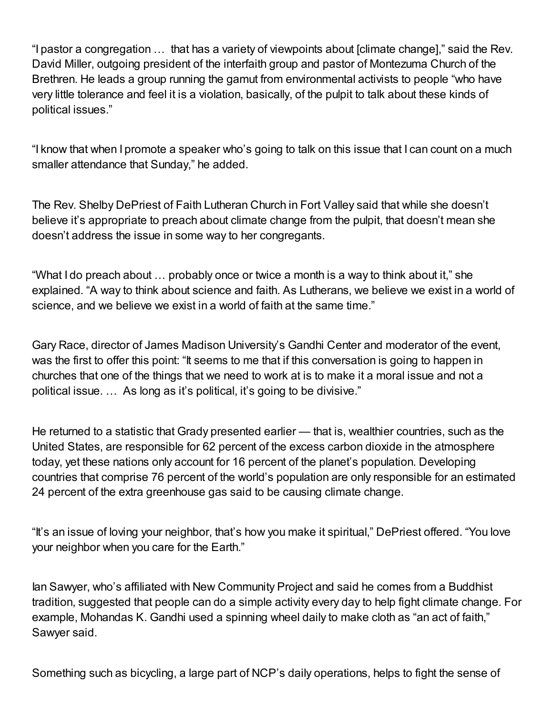"I pastor a congregation … that has a variety of viewpoints about [climate change]," said the Rev. David Miller, outgoing president of the interfaith group and pastor of Montezuma Church of the Brethren. He leads a group running the gamut from environmental activists to people "who have very little tolerance and feel it is a violation, basically, of the pulpit to talk about these kinds of political issues."

"I know that when I promote a speaker who's going to talk on this issue that I can count on a much smaller attendance that Sunday," he added.

The Rev. Shelby DePriest of Faith Lutheran Church in Fort Valley said that while she doesn't believe it's appropriate to preach about climate change from the pulpit, that doesn't mean she doesn't address the issue in some way to her congregants.

"What I do preach about … probably once or twice a month is a way to think about it," she explained. "A way to think about science and faith. As Lutherans, we believe we exist in a world of science, and we believe we exist in a world of faith at the same time."

Gary Race, director of James Madison University's Gandhi Center and moderator of the event, was the first to offer this point: "It seems to me that if this conversation is going to happen in churches that one of the things that we need to work at is to make it a moral issue and not a political issue. … As long as it's political, it's going to be divisive."

He returned to a statistic that Grady presented earlier — that is, wealthier countries, such as the United States, are responsible for 62 percent of the excess carbon dioxide in the atmosphere today, yet these nations only account for 16 percent of the planet's population. Developing countries that comprise 76 percent of the world's population are only responsible for an estimated 24 percent of the extra greenhouse gas said to be causing climate change.

"It's an issue of loving your neighbor, that's how you make it spiritual," DePriest offered. "You love your neighbor when you care for the Earth."

Ian Sawyer, who's affiliated with New Community Project and said he comes from a Buddhist tradition, suggested that people can do a simple activity every day to help fight climate change. For example, Mohandas K. Gandhi used a spinning wheel daily to make cloth as "an act of faith," Sawyer said.

Something such as bicycling, a large part of NCP's daily operations, helps to fight the sense of